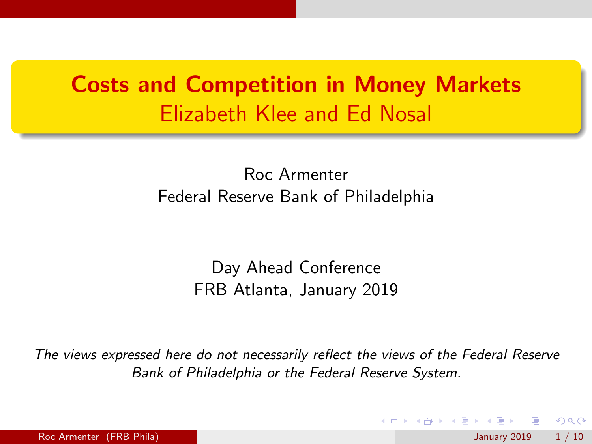# Costs and Competition in Money Markets Elizabeth Klee and Ed Nosal

Roc Armenter Federal Reserve Bank of Philadelphia

> Day Ahead Conference FRB Atlanta, January 2019

The views expressed here do not necessarily reflect the views of the Federal Reserve Bank of Philadelphia or the Federal Reserve System.

 $\Omega$ 

K ロ ▶ K 御 ▶ K 君 ▶ K 君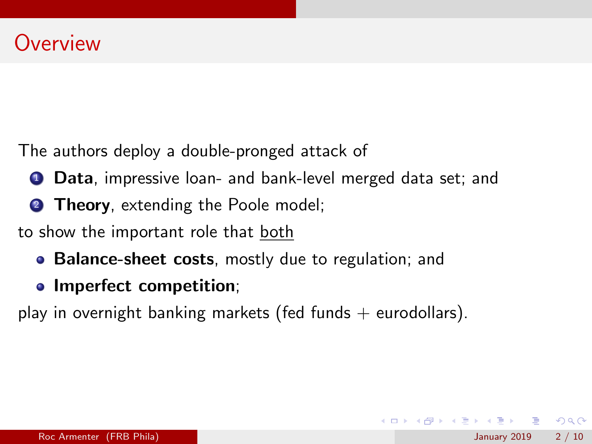The authors deploy a double-pronged attack of

- **1 Data**, impressive loan- and bank-level merged data set; and
- **2 Theory**, extending the Poole model;

to show the important role that both

- Balance-sheet costs, mostly due to regulation; and
- Imperfect competition;

play in overnight banking markets (fed funds  $+$  eurodollars).

 $\Omega$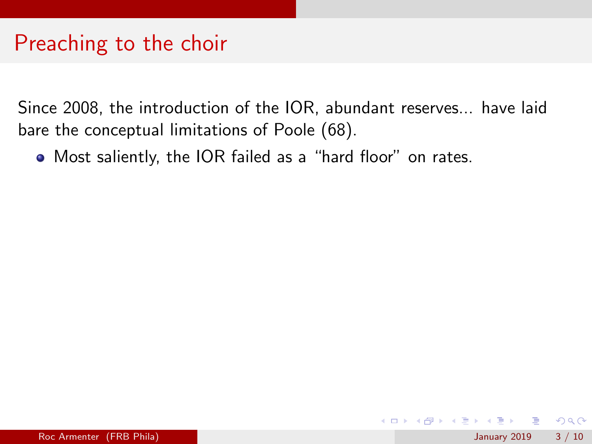### Preaching to the choir

Since 2008, the introduction of the IOR, abundant reserves... have laid bare the conceptual limitations of Poole (68).

Most saliently, the IOR failed as a "hard floor" on rates.

 $\Omega$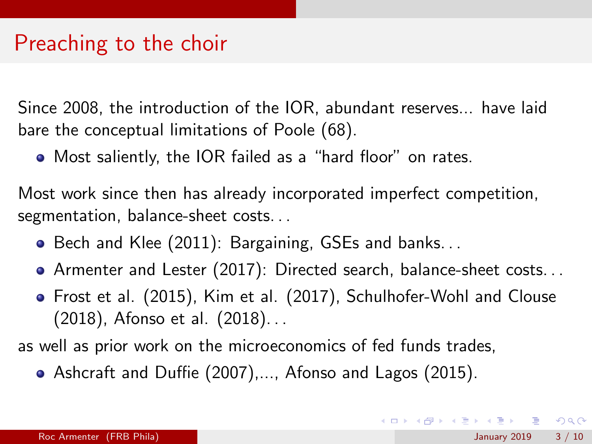### Preaching to the choir

Since 2008, the introduction of the IOR, abundant reserves... have laid bare the conceptual limitations of Poole (68).

Most saliently, the IOR failed as a "hard floor" on rates.

Most work since then has already incorporated imperfect competition, segmentation, balance-sheet costs. . .

- Bech and Klee (2011): Bargaining, GSEs and banks...
- Armenter and Lester (2017): Directed search, balance-sheet costs. . .
- Frost et al. (2015), Kim et al. (2017), Schulhofer-Wohl and Clouse (2018), Afonso et al. (2018). . .

as well as prior work on the microeconomics of fed funds trades,

Ashcraft and Duffie (2007),..., Afonso and Lagos (2015).

 $\Omega$ 

イロト イ部 トメ ヨ トメ ヨト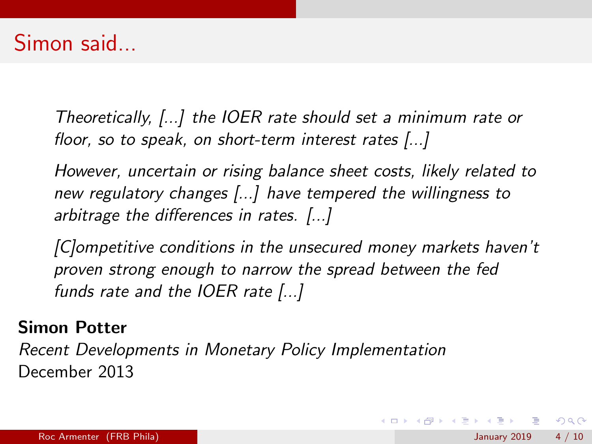Theoretically, [...] the IOER rate should set a minimum rate or floor, so to speak, on short-term interest rates [...]

However, uncertain or rising balance sheet costs, likely related to new regulatory changes [...] have tempered the willingness to arbitrage the differences in rates. [...]

[C]ompetitive conditions in the unsecured money markets haven't proven strong enough to narrow the spread between the fed funds rate and the IOER rate [...]

#### Simon Potter

Recent Developments in Monetary Policy Implementation December 2013

 $\Omega$ 

 $\mathbf{A} \equiv \mathbf{A} + \mathbf{A} \mathbf{B} + \mathbf{A} \mathbf{B} + \mathbf{A} \mathbf{B} + \mathbf{B} \mathbf{B}$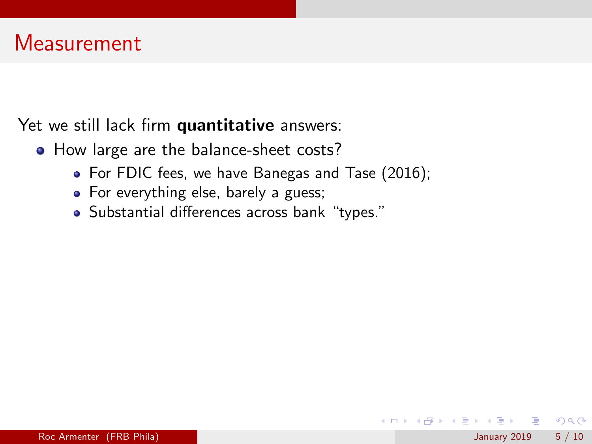Yet we still lack firm quantitative answers:

- How large are the balance-sheet costs?
	- For FDIC fees, we have Banegas and Tase (2016);
	- For everything else, barely a guess;
	- Substantial differences across bank "types."

 $\Omega$ 

イロト イ押 トイヨト イヨ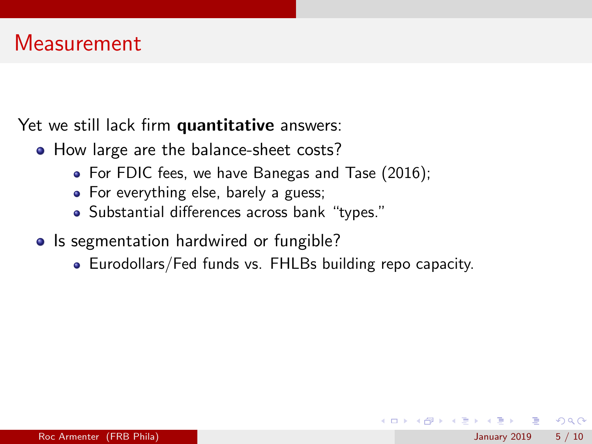Yet we still lack firm quantitative answers:

- How large are the balance-sheet costs?
	- For FDIC fees, we have Banegas and Tase (2016);
	- For everything else, barely a guess;
	- Substantial differences across bank "types."
- Is segmentation hardwired or fungible?
	- Eurodollars/Fed funds vs. FHLBs building repo capacity.

 $QQQ$ 

→ 何 ▶ → ヨ ▶ → ヨ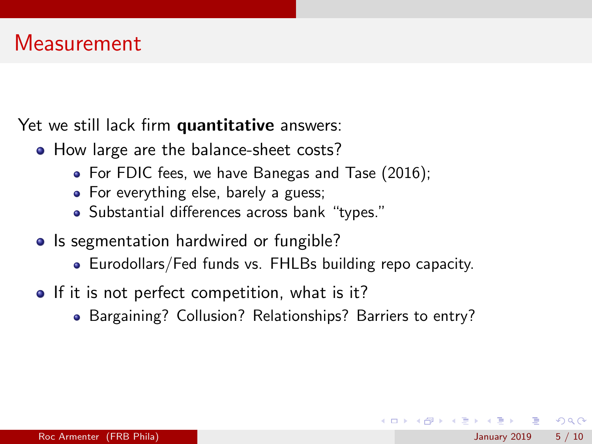Yet we still lack firm quantitative answers:

- How large are the balance-sheet costs?
	- For FDIC fees, we have Banegas and Tase (2016);
	- For everything else, barely a guess;
	- Substantial differences across bank "types."
- Is segmentation hardwired or fungible?
	- Eurodollars/Fed funds vs. FHLBs building repo capacity.
- If it is not perfect competition, what is it?
	- Bargaining? Collusion? Relationships? Barriers to entry?

 $QQQ$ 

イロメ イ母メ イヨメ イヨ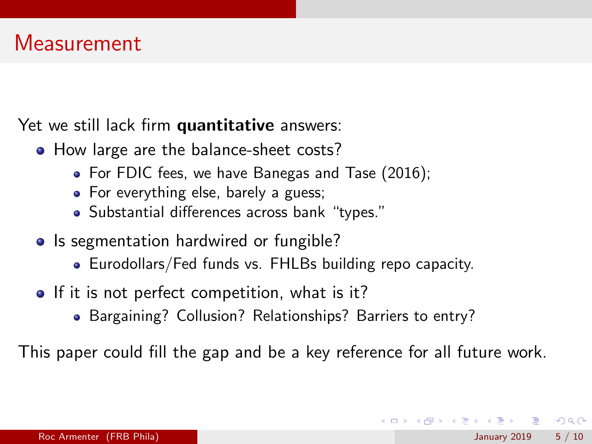Yet we still lack firm quantitative answers:

- How large are the balance-sheet costs?
	- For FDIC fees, we have Banegas and Tase (2016);
	- For everything else, barely a guess;
	- Substantial differences across bank "types."
- Is segmentation hardwired or fungible?
	- Eurodollars/Fed funds vs. FHLBs building repo capacity.
- If it is not perfect competition, what is it?
	- Bargaining? Collusion? Relationships? Barriers to entry?

This paper could fill the gap and be a key reference for all future work.

 $QQQ$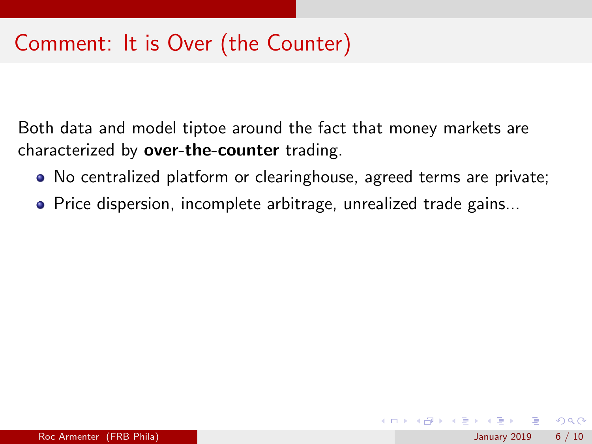## Comment: It is Over (the Counter)

Both data and model tiptoe around the fact that money markets are characterized by over-the-counter trading.

- No centralized platform or clearinghouse, agreed terms are private;
- **•** Price dispersion, incomplete arbitrage, unrealized trade gains...

 $QQ$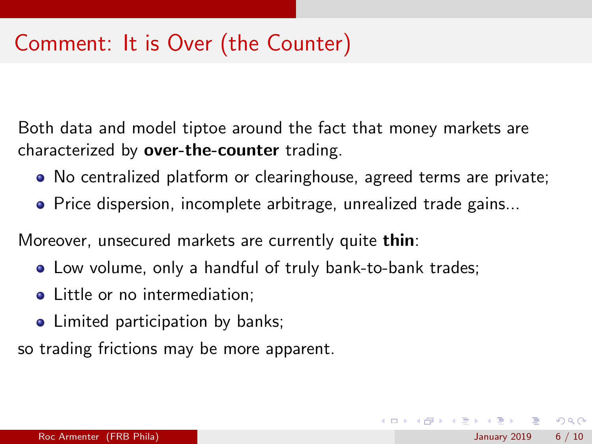## Comment: It is Over (the Counter)

Both data and model tiptoe around the fact that money markets are characterized by over-the-counter trading.

No centralized platform or clearinghouse, agreed terms are private;

イロト イ押ト イヨト イヨト

 $QQ$ 

**•** Price dispersion, incomplete arbitrage, unrealized trade gains...

Moreover, unsecured markets are currently quite thin:

- Low volume, only a handful of truly bank-to-bank trades;
- Little or no intermediation:
- Limited participation by banks;

so trading frictions may be more apparent.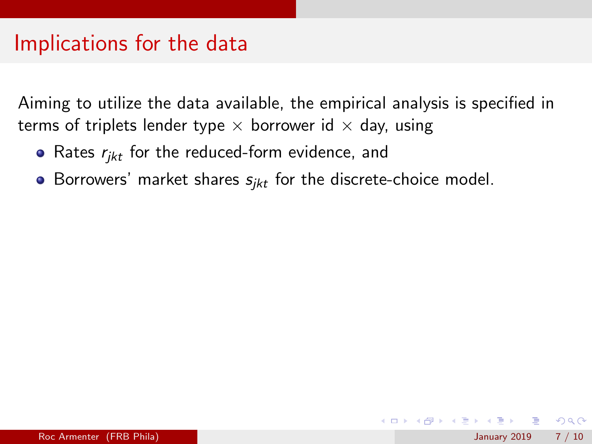#### Implications for the data

Aiming to utilize the data available, the empirical analysis is specified in terms of triplets lender type  $\times$  borrower id  $\times$  day, using

- Rates  $r_{ikt}$  for the reduced-form evidence, and
- Borrowers' market shares  $s_{ikt}$  for the discrete-choice model.

 $\Omega$ 

イロト イ押ト イヨト イヨト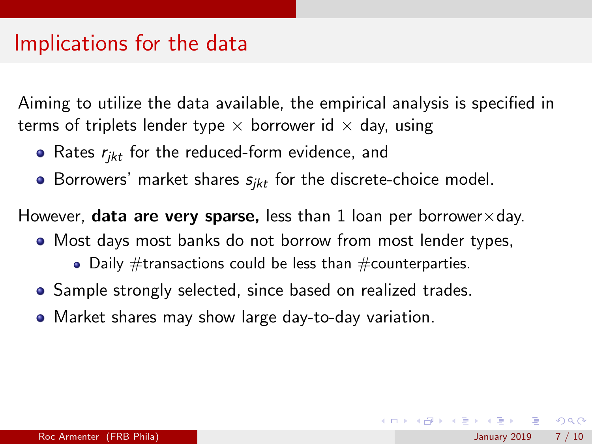#### Implications for the data

Aiming to utilize the data available, the empirical analysis is specified in terms of triplets lender type  $\times$  borrower id  $\times$  day, using

- Rates  $r_{ikt}$  for the reduced-form evidence, and
- Borrowers' market shares  $s_{ikt}$  for the discrete-choice model.

However, **data are very sparse,** less than 1 loan per borrower $\times$ day.

- Most days most banks do not borrow from most lender types,
	- Daily  $\#$ transactions could be less than  $\#$ counterparties.
- Sample strongly selected, since based on realized trades.
- Market shares may show large day-to-day variation.

 $QQ$ 

 $\left\{ \begin{array}{ccc} 1 & 0 & 0 \\ 0 & 1 & 0 \end{array} \right.$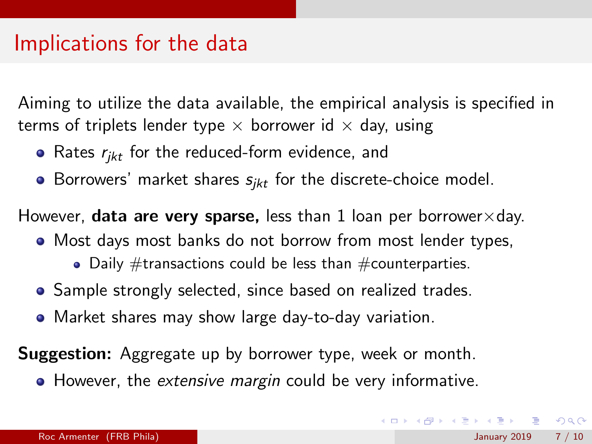#### Implications for the data

Aiming to utilize the data available, the empirical analysis is specified in terms of triplets lender type  $\times$  borrower id  $\times$  day, using

- Rates  $r_{ikt}$  for the reduced-form evidence, and
- Borrowers' market shares  $s_{ikt}$  for the discrete-choice model.

However, **data are very sparse,** less than 1 loan per borrower $\times$ day.

- Most days most banks do not borrow from most lender types,
	- Daily  $\#$ transactions could be less than  $\#$ counterparties.
- Sample strongly selected, since based on realized trades.
- Market shares may show large day-to-day variation.

**Suggestion:** Aggregate up by borrower type, week or month.

• However, the extensive margin could be very informative.

 $QQ$ 

 $\left\{ \begin{array}{ccc} 1 & 0 & 0 \\ 0 & 1 & 0 \end{array} \right.$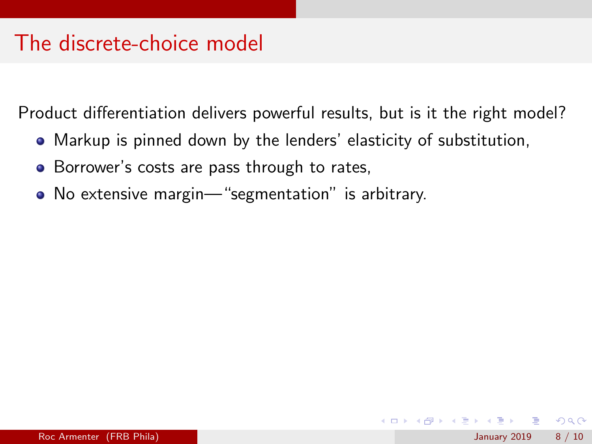Product differentiation delivers powerful results, but is it the right model?

- Markup is pinned down by the lenders' elasticity of substitution,
- Borrower's costs are pass through to rates,
- No extensive margin—"segmentation" is arbitrary.

 $QQ$ 

イロト イ押 トイヨト イヨ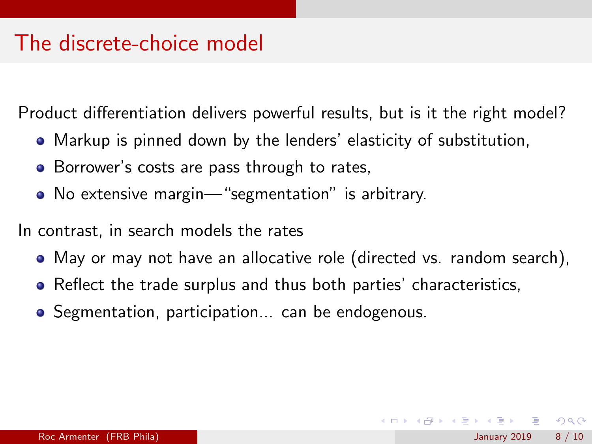Product differentiation delivers powerful results, but is it the right model?

- Markup is pinned down by the lenders' elasticity of substitution,
- Borrower's costs are pass through to rates,
- No extensive margin—"segmentation" is arbitrary.

In contrast, in search models the rates

- May or may not have an allocative role (directed vs. random search),
- Reflect the trade surplus and thus both parties' characteristics,
- **•** Segmentation, participation... can be endogenous.

 $QQQ$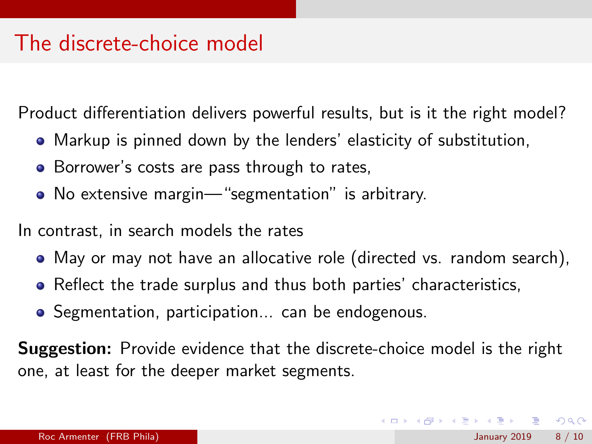Product differentiation delivers powerful results, but is it the right model?

- Markup is pinned down by the lenders' elasticity of substitution,
- Borrower's costs are pass through to rates,
- No extensive margin—"segmentation" is arbitrary.

In contrast, in search models the rates

- May or may not have an allocative role (directed vs. random search),
- Reflect the trade surplus and thus both parties' characteristics,
- **•** Segmentation, participation... can be endogenous.

Suggestion: Provide evidence that the discrete-choice model is the right one, at least for the deeper market segments.

 $=$   $\Omega$ 

 $\left\{ \begin{array}{ccc} 1 & 0 & 0 \\ 0 & 1 & 0 \end{array} \right.$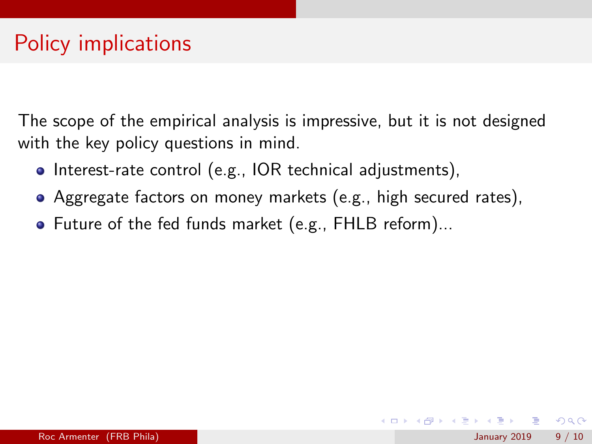The scope of the empirical analysis is impressive, but it is not designed with the key policy questions in mind.

- Interest-rate control (e.g., IOR technical adjustments),
- Aggregate factors on money markets (e.g., high secured rates),
- Future of the fed funds market (e.g., FHLB reform)...

 $\Omega$ 

イロト イ押ト イヨト イヨト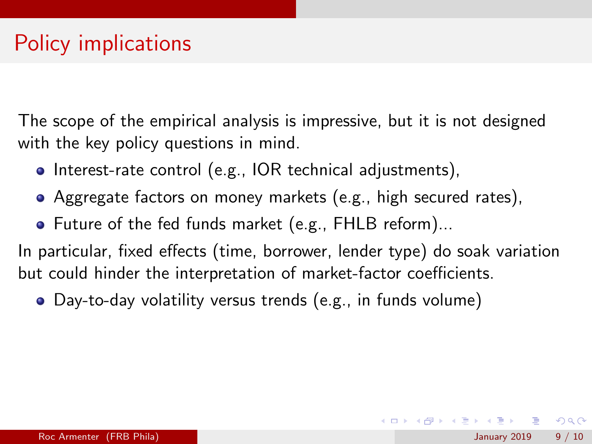The scope of the empirical analysis is impressive, but it is not designed with the key policy questions in mind.

- Interest-rate control (e.g., IOR technical adjustments),
- Aggregate factors on money markets (e.g., high secured rates),
- Future of the fed funds market (e.g., FHLB reform)...

In particular, fixed effects (time, borrower, lender type) do soak variation but could hinder the interpretation of market-factor coefficients.

Day-to-day volatility versus trends (e.g., in funds volume)

 $QQ$ 

イロト イ部 トメ ヨ トメ ヨト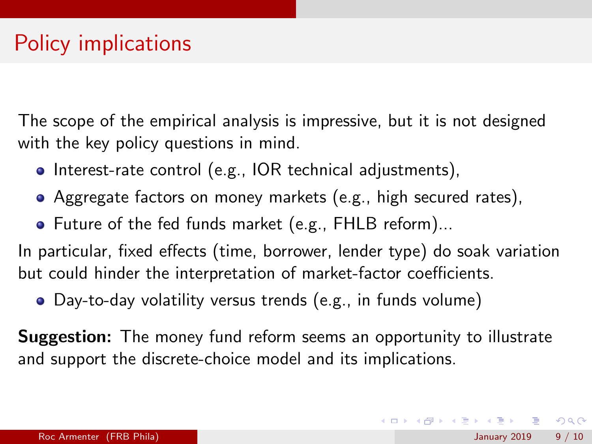The scope of the empirical analysis is impressive, but it is not designed with the key policy questions in mind.

- Interest-rate control (e.g., IOR technical adjustments),
- Aggregate factors on money markets (e.g., high secured rates),
- Future of the fed funds market (e.g., FHLB reform)...

In particular, fixed effects (time, borrower, lender type) do soak variation but could hinder the interpretation of market-factor coefficients.

Day-to-day volatility versus trends (e.g., in funds volume)

**Suggestion:** The money fund reform seems an opportunity to illustrate and support the discrete-choice model and its implications.

**KOD KARD KED KED B YOUR**